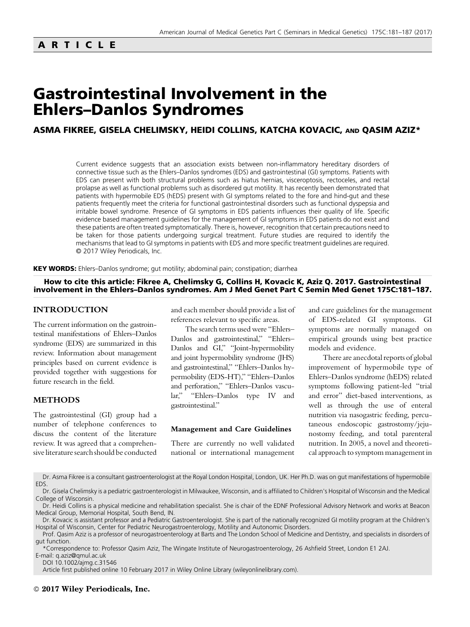# ARTICLE

# Gastrointestinal Involvement in the Ehlers–Danlos Syndromes

# ASMA FIKREE, GISELA CHELIMSKY, HEIDI COLLINS, KATCHA KOVACIC, AND QASIM AZIZ\*

Current evidence suggests that an association exists between non-inflammatory hereditary disorders of connective tissue such as the Ehlers–Danlos syndromes (EDS) and gastrointestinal (GI) symptoms. Patients with EDS can present with both structural problems such as hiatus hernias, visceroptosis, rectoceles, and rectal prolapse as well as functional problems such as disordered gut motility. It has recently been demonstrated that patients with hypermobile EDS (hEDS) present with GI symptoms related to the fore and hind-gut and these patients frequently meet the criteria for functional gastrointestinal disorders such as functional dyspepsia and irritable bowel syndrome. Presence of GI symptoms in EDS patients influences their quality of life. Specific evidence based management guidelines for the management of GI symptoms in EDS patients do not exist and these patients are often treated symptomatically. There is, however, recognition that certain precautions need to be taken for those patients undergoing surgical treatment. Future studies are required to identify the mechanisms that lead to GI symptoms in patients with EDS and more specific treatment guidelines are required. © 2017 Wiley Periodicals, Inc.

KEY WORDS: Ehlers–Danlos syndrome; gut motility; abdominal pain; constipation; diarrhea

#### How to cite this article: Fikree A, Chelimsky G, Collins H, Kovacic K, Aziz Q. 2017. Gastrointestinal involvement in the Ehlers–Danlos syndromes. Am J Med Genet Part C Semin Med Genet 175C:181–187.

# INTRODUCTION

The current information on the gastrointestinal manifestations of Ehlers–Danlos syndrome (EDS) are summarized in this review. Information about management principles based on current evidence is provided together with suggestions for future research in the field.

# METHODS

The gastrointestinal (GI) group had a number of telephone conferences to discuss the content of the literature review. It was agreed that a comprehensive literature search should be conducted and each member should provide a list of references relevant to specific areas.

The search terms used were "Ehlers– Danlos and gastrointestinal," "Ehlers– Danlos and GI," "Joint-hypermobility and joint hypermobility syndrome (JHS) and gastrointestinal," "Ehlers–Danlos hypermobility (EDS-HT)," "Ehlers–Danlos and perforation," "Ehlers–Danlos vascular," "Ehlers–Danlos type IV and gastrointestinal."

#### Management and Care Guidelines

There are currently no well validated national or international management and care guidelines for the management of EDS-related GI symptoms. GI symptoms are normally managed on empirical grounds using best practice models and evidence.

There are anecdotal reports of global improvement of hypermobile type of Ehlers–Danlos syndrome (hEDS) related symptoms following patient-led "trial and error" diet-based interventions, as well as through the use of enteral nutrition via nasogastric feeding, percutaneous endoscopic gastrostomy/jejunostomy feeding, and total parenteral nutrition. In 2005, a novel and theoretical approach to symptom management in

Dr. Asma Fikree is a consultant gastroenterologist at the Royal London Hospital, London, UK. Her Ph.D. was on gut manifestations of hypermobile EDS.

Dr. Heidi Collins is a physical medicine and rehabilitation specialist. She is chair of the EDNF Professional Advisory Network and works at Beacon Medical Group, Memorial Hospital, South Bend, IN.

Dr. Kovacic is assistant professor and a Pediatric Gastroenterologist. She is part of the nationally recognized GI motility program at the Children's Hospital of Wisconsin, Center for Pediatric Neurogastroenterology, Motility and Autonomic Disorders.

\*Correspondence to: Professor Qasim Aziz, The Wingate Institute of Neurogastroenterology, 26 Ashfield Street, London E1 2AJ.

E-mail: q.aziz@qmul.ac.uk DOI 10.1002/ajmg.c.31546

Article first published online 10 February 2017 in Wiley Online Library (wileyonlinelibrary.com).

Dr. Gisela Chelimsky is a pediatric gastroenterologist in Milwaukee, Wisconsin, and is affiliated to Children's Hospital of Wisconsin and the Medical College of Wisconsin.

Prof. Qasim Aziz is a professor of neurogastroenterology at Barts and The London School of Medicine and Dentistry, and specialists in disorders of gut function.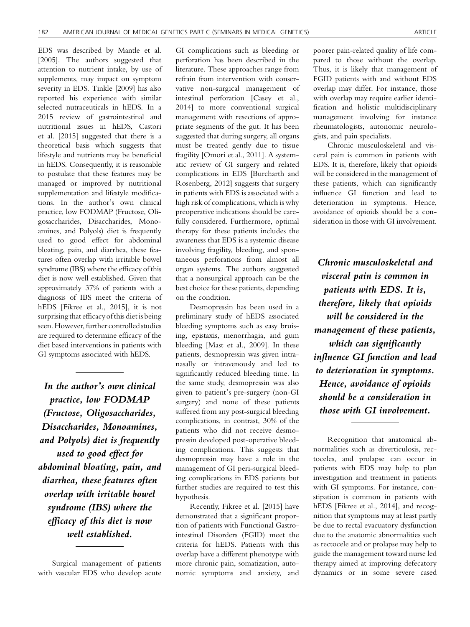EDS was described by Mantle et al. [2005]. The authors suggested that attention to nutrient intake, by use of supplements, may impact on symptom severity in EDS. Tinkle [2009] has also reported his experience with similar selected nutraceuticals in hEDS. In a 2015 review of gastrointestinal and nutritional issues in hEDS, Castori et al. [2015] suggested that there is a theoretical basis which suggests that lifestyle and nutrients may be beneficial in hEDS. Consequently, it is reasonable to postulate that these features may be managed or improved by nutritional supplementation and lifestyle modifications. In the author's own clinical practice, low FODMAP (Fructose, Oligosaccharides, Disaccharides, Monoamines, and Polyols) diet is frequently used to good effect for abdominal bloating, pain, and diarrhea, these features often overlap with irritable bowel syndrome (IBS) where the efficacy of this diet is now well established. Given that approximately 37% of patients with a diagnosis of IBS meet the criteria of hEDS [Fikree et al., 2015], it is not surprising that efficacy of this diet is being seen. However, further controlled studies are required to determine efficacy of the diet based interventions in patients with GI symptoms associated with hEDS.

In the author's own clinical practice, low FODMAP (Fructose, Oligosaccharides, Disaccharides, Monoamines, and Polyols) diet is frequently used to good effect for abdominal bloating, pain, and diarrhea, these features often overlap with irritable bowel syndrome (IBS) where the efficacy of this diet is now well established.

Surgical management of patients with vascular EDS who develop acute

GI complications such as bleeding or perforation has been described in the literature. These approaches range from refrain from intervention with conservative non-surgical management of intestinal perforation [Casey et al., 2014] to more conventional surgical management with resections of appropriate segments of the gut. It has been suggested that during surgery, all organs must be treated gently due to tissue fragility [Omori et al., 2011]. A systematic review of GI surgery and related complications in EDS [Burcharth and Rosenberg, 2012] suggests that surgery in patients with EDS is associated with a high risk of complications, which is why preoperative indications should be carefully considered. Furthermore, optimal therapy for these patients includes the awareness that EDS is a systemic disease involving fragility, bleeding, and spontaneous perforations from almost all organ systems. The authors suggested that a nonsurgical approach can be the best choice for these patients, depending on the condition.

Desmopressin has been used in a preliminary study of hEDS associated bleeding symptoms such as easy bruising, epistaxis, menorrhagia, and gum bleeding [Mast et al., 2009]. In these patients, desmopressin was given intranasally or intravenously and led to significantly reduced bleeding time. In the same study, desmopressin was also given to patient's pre-surgery (non-GI surgery) and none of these patients suffered from any post-surgical bleeding complications, in contrast, 30% of the patients who did not receive desmopressin developed post-operative bleeding complications. This suggests that desmopressin may have a role in the management of GI peri-surgical bleeding complications in EDS patients but further studies are required to test this hypothesis.

Recently, Fikree et al. [2015] have demonstrated that a significant proportion of patients with Functional Gastrointestinal Disorders (FGID) meet the criteria for hEDS. Patients with this overlap have a different phenotype with more chronic pain, somatization, autonomic symptoms and anxiety, and poorer pain-related quality of life compared to those without the overlap. Thus, it is likely that management of FGID patients with and without EDS overlap may differ. For instance, those with overlap may require earlier identification and holistic multidisciplinary management involving for instance rheumatologists, autonomic neurologists, and pain specialists.

Chronic musculoskeletal and visceral pain is common in patients with EDS. It is, therefore, likely that opioids will be considered in the management of these patients, which can significantly influence GI function and lead to deterioration in symptoms. Hence, avoidance of opioids should be a consideration in those with GI involvement.

Chronic musculoskeletal and visceral pain is common in patients with EDS. It is, therefore, likely that opioids will be considered in the management of these patients, which can significantly influence GI function and lead to deterioration in symptoms. Hence, avoidance of opioids should be a consideration in those with GI involvement.

Recognition that anatomical abnormalities such as diverticulosis, rectoceles, and prolapse can occur in patients with EDS may help to plan investigation and treatment in patients with GI symptoms. For instance, constipation is common in patients with hEDS [Fikree et al., 2014], and recognition that symptoms may at least partly be due to rectal evacuatory dysfunction due to the anatomic abnormalities such as rectocele and or prolapse may help to guide the management toward nurse led therapy aimed at improving defecatory dynamics or in some severe cased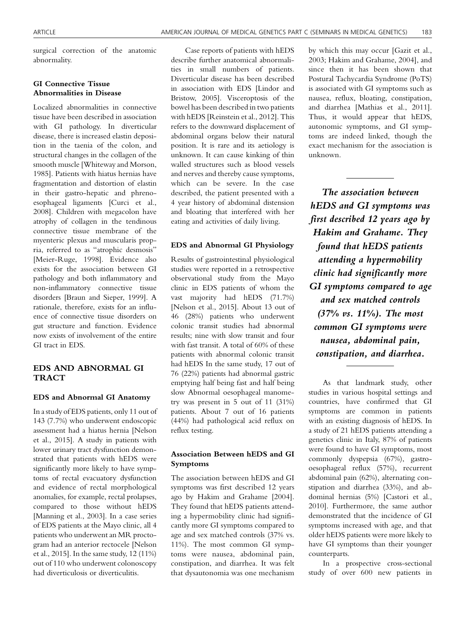surgical correction of the anatomic abnormality.

# GI Connective Tissue Abnormalities in Disease

Localized abnormalities in connective tissue have been described in association with GI pathology. In diverticular disease, there is increased elastin deposition in the taenia of the colon, and structural changes in the collagen of the smooth muscle [Whiteway and Morson, 1985]. Patients with hiatus hernias have fragmentation and distortion of elastin in their gastro-hepatic and phrenoesophageal ligaments [Curci et al., 2008]. Children with megacolon have atrophy of collagen in the tendinous connective tissue membrane of the myenteric plexus and muscularis propria, referred to as "atrophic desmosis" [Meier-Ruge, 1998]. Evidence also exists for the association between GI pathology and both inflammatory and non-inflammatory connective tissue disorders [Braun and Sieper, 1999]. A rationale, therefore, exists for an influence of connective tissue disorders on gut structure and function. Evidence now exists of involvement of the entire GI tract in EDS.

# EDS AND ABNORMAL GI TRACT

#### EDS and Abnormal GI Anatomy

In a study of EDS patients, only 11 out of 143 (7.7%) who underwent endoscopic assessment had a hiatus hernia [Nelson et al., 2015]. A study in patients with lower urinary tract dysfunction demonstrated that patients with hEDS were significantly more likely to have symptoms of rectal evacuatory dysfunction and evidence of rectal morphological anomalies, for example, rectal prolapses, compared to those without hEDS [Manning et al., 2003]. In a case series of EDS patients at the Mayo clinic, all 4 patients who underwent an MR proctogram had an anterior rectocele [Nelson et al., 2015]. In the same study, 12 (11%) out of 110 who underwent colonoscopy had diverticulosis or diverticulitis.

Case reports of patients with hEDS describe further anatomical abnormalities in small numbers of patients. Diverticular disease has been described in association with EDS [Lindor and Bristow, 2005]. Visceroptosis of the bowel has been described in two patients with hEDS [Reinstein et al., 2012]. This refers to the downward displacement of abdominal organs below their natural position. It is rare and its aetiology is unknown. It can cause kinking of thin walled structures such as blood vessels and nerves and thereby cause symptoms, which can be severe. In the case described, the patient presented with a 4 year history of abdominal distension and bloating that interfered with her eating and activities of daily living.

## EDS and Abnormal GI Physiology

Results of gastrointestinal physiological studies were reported in a retrospective observational study from the Mayo clinic in EDS patients of whom the vast majority had hEDS (71.7%) [Nelson et al., 2015]. About 13 out of 46 (28%) patients who underwent colonic transit studies had abnormal results; nine with slow transit and four with fast transit. A total of 60% of these patients with abnormal colonic transit had hEDS In the same study, 17 out of 76 (22%) patients had abnormal gastric emptying half being fast and half being slow Abnormal oesophageal manometry was present in 5 out of 11 (31%) patients. About 7 out of 16 patients (44%) had pathological acid reflux on reflux testing.

# Association Between hEDS and GI Symptoms

The association between hEDS and GI symptoms was first described 12 years ago by Hakim and Grahame [2004]. They found that hEDS patients attending a hypermobility clinic had significantly more GI symptoms compared to age and sex matched controls (37% vs. 11%). The most common GI symptoms were nausea, abdominal pain, constipation, and diarrhea. It was felt that dysautonomia was one mechanism by which this may occur [Gazit et al., 2003; Hakim and Grahame, 2004], and since then it has been shown that Postural Tachycardia Syndrome (PoTS) is associated with GI symptoms such as nausea, reflux, bloating, constipation, and diarrhea [Mathias et al., 2011]. Thus, it would appear that hEDS, autonomic symptoms, and GI symptoms are indeed linked, though the exact mechanism for the association is unknown.

The association between hEDS and GI symptoms was first described 12 years ago by Hakim and Grahame. They found that hEDS patients attending a hypermobility clinic had significantly more GI symptoms compared to age and sex matched controls (37% vs. 11%). The most common GI symptoms were nausea, abdominal pain, constipation, and diarrhea.

As that landmark study, other studies in various hospital settings and countries, have confirmed that GI symptoms are common in patients with an existing diagnosis of hEDS. In a study of 21 hEDS patients attending a genetics clinic in Italy, 87% of patients were found to have GI symptoms, most commonly dyspepsia (67%), gastrooesophageal reflux (57%), recurrent abdominal pain (62%), alternating constipation and diarrhea (33%), and abdominal hernias (5%) [Castori et al., 2010]. Furthermore, the same author demonstrated that the incidence of GI symptoms increased with age, and that older hEDS patients were more likely to have GI symptoms than their younger counterparts.

In a prospective cross-sectional study of over 600 new patients in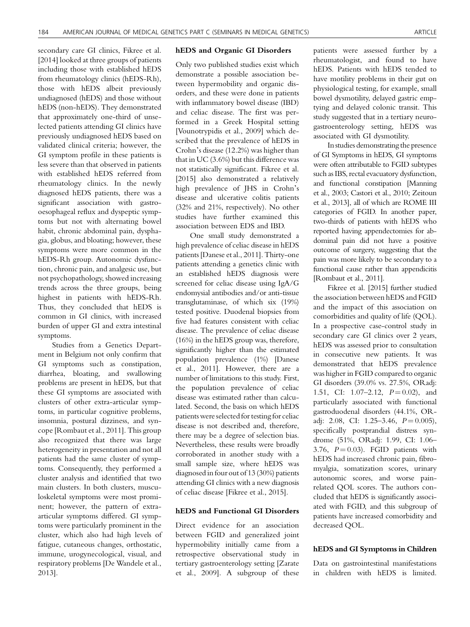secondary care GI clinics, Fikree et al. [2014] looked at three groups of patients including those with established hEDS from rheumatology clinics (hEDS-Rh), those with hEDS albeit previously undiagnosed (hEDS) and those without hEDS (non-hEDS). They demonstrated that approximately one-third of unselected patients attending GI clinics have previously undiagnosed hEDS based on validated clinical criteria; however, the GI symptom profile in these patients is less severe than that observed in patients with established hEDS referred from rheumatology clinics. In the newly diagnosed hEDS patients, there was a significant association with gastrooesophageal reflux and dyspeptic symptoms but not with alternating bowel habit, chronic abdominal pain, dysphagia, globus, and bloating; however, these symptoms were more common in the hEDS-Rh group. Autonomic dysfunction, chronic pain, and analgesic use, but not psychopathology, showed increasing trends across the three groups, being highest in patients with hEDS-Rh. Thus, they concluded that hEDS is common in GI clinics, with increased burden of upper GI and extra intestinal symptoms.

Studies from a Genetics Department in Belgium not only confirm that GI symptoms such as constipation, diarrhea, bloating, and swallowing problems are present in hEDS, but that these GI symptoms are associated with clusters of other extra-articular symptoms, in particular cognitive problems, insomnia, postural dizziness, and syncope [Rombaut et al., 2011]. This group also recognized that there was large heterogeneity in presentation and not all patients had the same cluster of symptoms. Consequently, they performed a cluster analysis and identified that two main clusters. In both clusters, musculoskeletal symptoms were most prominent; however, the pattern of extraarticular symptoms differed. GI symptoms were particularly prominent in the cluster, which also had high levels of fatigue, cutaneous changes, orthostatic, immune, urogynecological, visual, and respiratory problems [De Wandele et al., 2013].

#### hEDS and Organic GI Disorders

Only two published studies exist which demonstrate a possible association between hypermobility and organic disorders, and these were done in patients with inflammatory bowel disease (IBD) and celiac disease. The first was performed in a Greek Hospital setting [Vounotrypidis et al., 2009] which described that the prevalence of hEDS in Crohn's disease (12.2%) was higher than that in UC (3.6%) but this difference was not statistically significant. Fikree et al. [2015] also demonstrated a relatively high prevalence of JHS in Crohn's disease and ulcerative colitis patients (32% and 21%, respectively). No other studies have further examined this association between EDS and IBD.

One small study demonstrated a high prevalence of celiac disease in hEDS patients [Danese et al., 2011]. Thirty-one patients attending a genetics clinic with an established hEDS diagnosis were screened for celiac disease using IgA/G endomysial antibodies and/or anti-tissue transglutaminase, of which six (19%) tested positive. Duodenal biopsies from five had features consistent with celiac disease. The prevalence of celiac disease (16%) in the hEDS group was, therefore, significantly higher than the estimated population prevalence (1%) [Danese et al., 2011]. However, there are a number of limitations to this study. First, the population prevalence of celiac disease was estimated rather than calculated. Second, the basis on which hEDS patients were selected for testing for celiac disease is not described and, therefore, there may be a degree of selection bias. Nevertheless, these results were broadly corroborated in another study with a small sample size, where hEDS was diagnosed in four out of 13 (30%) patients attending GI clinics with a new diagnosis of celiac disease [Fikree et al., 2015].

#### hEDS and Functional GI Disorders

Direct evidence for an association between FGID and generalized joint hypermobility initially came from a retrospective observational study in tertiary gastroenterology setting [Zarate et al., 2009]. A subgroup of these

patients were assessed further by a rheumatologist, and found to have hEDS. Patients with hEDS tended to have motility problems in their gut on physiological testing, for example, small bowel dysmotility, delayed gastric emptying and delayed colonic transit. This study suggested that in a tertiary neurogastroenterology setting, hEDS was associated with GI dysmotility.

In studies demonstrating the presence of GI Symptoms in hEDS, GI symptoms were often attributable to FGID subtypes such as IBS, rectal evacuatory dysfunction, and functional constipation [Manning et al., 2003; Castori et al., 2010; Zeitoun et al., 2013], all of which are ROME III categories of FGID. In another paper, two-thirds of patients with hEDS who reported having appendectomies for abdominal pain did not have a positive outcome of surgery, suggesting that the pain was more likely to be secondary to a functional cause rather than appendicitis [Rombaut et al., 2011].

Fikree et al. [2015] further studied the association between hEDS and FGID and the impact of this association on comorbidities and quality of life (QOL). In a prospective case-control study in secondary care GI clinics over 2 years, hEDS was assessed prior to consultation in consecutive new patients. It was demonstrated that hEDS prevalence was higher in FGID compared to organic GI disorders (39.0% vs. 27.5%, ORadj: 1.51, CI:  $1.07-2.12$ ,  $P = 0.02$ ), and particularly associated with functional gastroduodenal disorders (44.1%, ORadj: 2.08, CI: 1.25–3.46,  $P = 0.005$ ), specifically postprandial distress syndrome (51%, ORadj: 1.99, CI: 1.06– 3.76,  $P = 0.03$ ). FGID patients with hEDS had increased chronic pain, fibromyalgia, somatization scores, urinary autonomic scores, and worse painrelated QOL scores. The authors concluded that hEDS is significantly associated with FGID, and this subgroup of patients have increased comorbidity and decreased QOL.

#### hEDS and GI Symptoms in Children

Data on gastrointestinal manifestations in children with hEDS is limited.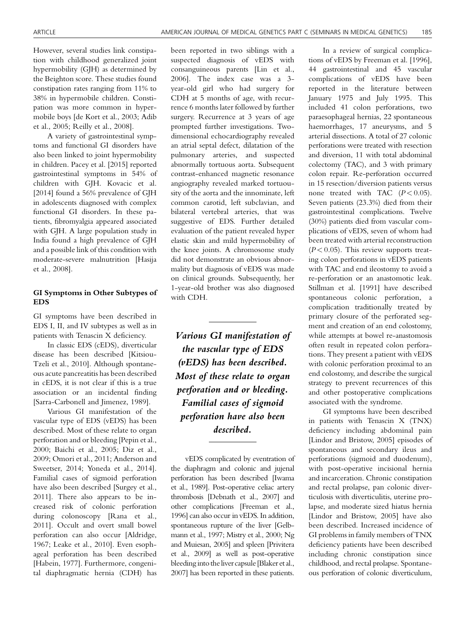However, several studies link constipation with childhood generalized joint hypermobility (GJH) as determined by the Beighton score. These studies found constipation rates ranging from 11% to 38% in hypermobile children. Constipation was more common in hypermobile boys [de Kort et al., 2003; Adib et al., 2005; Reilly et al., 2008].

A variety of gastrointestinal symptoms and functional GI disorders have also been linked to joint hypermobility in children. Pacey et al. [2015] reported gastrointestinal symptoms in 54% of children with GJH. Kovacic et al. [2014] found a 56% prevalence of GJH in adolescents diagnosed with complex functional GI disorders. In these patients, fibromyalgia appeared associated with GJH. A large population study in India found a high prevalence of GJH and a possible link of this condition with moderate-severe malnutrition [Hasija et al., 2008].

# GI Symptoms in Other Subtypes of EDS

GI symptoms have been described in EDS I, II, and IV subtypes as well as in patients with Tenascin X deficiency.

In classic EDS (cEDS), diverticular disease has been described [Kitsiou-Tzeli et al., 2010]. Although spontaneous acute pancreatitis has been described in cEDS, it is not clear if this is a true association or an incidental finding [Sarra-Carbonell and Jimenez, 1989].

Various GI manifestation of the vascular type of EDS (vEDS) has been described. Most of these relate to organ perforation and or bleeding [Pepin et al., 2000; Baichi et al., 2005; Diz et al., 2009; Omori et al., 2011; Anderson and Sweetser, 2014; Yoneda et al., 2014]. Familial cases of sigmoid perforation have also been described [Surgey et al., 2011]. There also appears to be increased risk of colonic perforation during colonoscopy [Rana et al., 2011]. Occult and overt small bowel perforation can also occur [Aldridge, 1967; Leake et al., 2010]. Even esophageal perforation has been described [Habein, 1977]. Furthermore, congenital diaphragmatic hernia (CDH) has been reported in two siblings with a suspected diagnosis of vEDS with consanguineous parents [Lin et al., 2006]. The index case was a 3 year-old girl who had surgery for CDH at 5 months of age, with recurrence 6 months later followed by further surgery. Recurrence at 3 years of age prompted further investigations. Twodimensional echocardiography revealed an atrial septal defect, dilatation of the pulmonary arteries, and suspected abnormally tortuous aorta. Subsequent contrast-enhanced magnetic resonance angiography revealed marked tortuousity of the aorta and the innominate, left common carotid, left subclavian, and bilateral vertebral arteries, that was suggestive of EDS. Further detailed evaluation of the patient revealed hyper elastic skin and mild hypermobility of the knee joints. A chromosome study did not demonstrate an obvious abnormality but diagnosis of vEDS was made on clinical grounds. Subsequently, her 1-year-old brother was also diagnosed with CDH.

Various GI manifestation of the vascular type of EDS (vEDS) has been described. Most of these relate to organ perforation and or bleeding. Familial cases of sigmoid perforation have also been described.

vEDS complicated by eventration of the diaphragm and colonic and jujenal perforation has been described [Iwama et al., 1989]. Post-operative celiac artery thrombosis [Debnath et al., 2007] and other complications [Freeman et al., 1996] can also occur in vEDS. In addition, spontaneous rupture of the liver [Gelbmann et al., 1997; Mistry et al., 2000; Ng and Muiesan, 2005] and spleen [Privitera et al., 2009] as well as post-operative bleeding into the liver capsule [Blaker et al., 2007] has been reported in these patients.

In a review of surgical complications of vEDS by Freeman et al. [1996], 44 gastrointestinal and 45 vascular complications of vEDS have been reported in the literature between January 1975 and July 1995. This included 41 colon perforations, two paraesophageal hernias, 22 spontaneous haemorrhages, 17 aneurysms, and 5 arterial dissections. A total of 27 colonic perforations were treated with resection and diversion, 11 with total abdominal colectomy (TAC), and 3 with primary colon repair. Re-perforation occurred in 15 resection/diversion patients versus none treated with TAC  $(P < 0.05)$ . Seven patients (23.3%) died from their gastrointestinal complications. Twelve (30%) patients died from vascular complications of vEDS, seven of whom had been treated with arterial reconstruction  $(P< 0.05)$ . This review supports treating colon perforations in vEDS patients with TAC and end ileostomy to avoid a re-perforation or an anastomotic leak. Stillman et al. [1991] have described spontaneous colonic perforation, a complication traditionally treated by primary closure of the perforated segment and creation of an end colostomy, while attempts at bowel re-anastomosis often result in repeated colon perforations. They present a patient with vEDS with colonic perforation proximal to an end colostomy, and describe the surgical strategy to prevent recurrences of this and other postoperative complications associated with the syndrome.

GI symptoms have been described in patients with Tenascin X (TNX) deficiency including abdominal pain [Lindor and Bristow, 2005] episodes of spontaneous and secondary ileus and perforations (sigmoid and duodenum), with post-operative incisional hernia and incarceration. Chronic constipation and rectal prolapse, pan colonic diverticulosis with diverticulitis, uterine prolapse, and moderate sized hiatus hernia [Lindor and Bristow, 2005] have also been described. Increased incidence of GI problems in family members of TNX deficiency patients have been described including chronic constipation since childhood, and rectal prolapse. Spontaneous perforation of colonic diverticulum,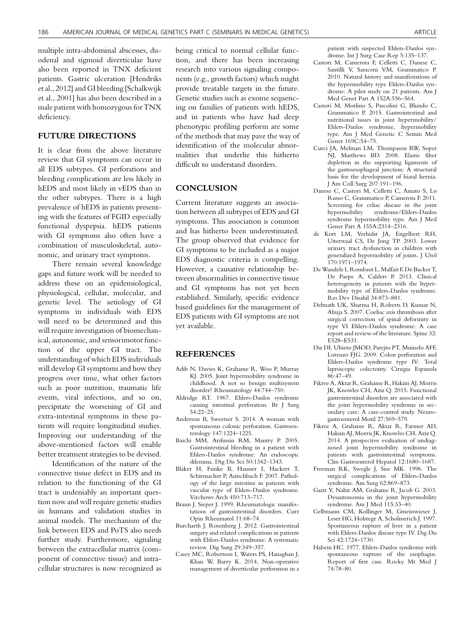multiple intra-abdominal abscesses, duodenal and sigmoid diverticulae have also been reported in TNX deficient patients. Gastric ulceration [Hendriks et al., 2012] and GI bleeding [Schalkwijk et al., 2001] has also been described in a male patient with homozygous for TNX deficiency.

#### FUTURE DIRECTIONS

It is clear from the above literature review that GI symptoms can occur in all EDS subtypes. GI perforations and bleeding complications are less likely in hEDS and most likely in vEDS than in the other subtypes. There is a high prevalence of hEDS in patients presenting with the features of FGID especially functional dyspepsia. hEDS patients with GI symptoms also often have a combination of musculoskeletal, autonomic, and urinary tract symptoms.

There remain several knowledge gaps and future work will be needed to address these on an epidemiological, physiological, cellular, molecular, and genetic level. The aetiology of GI symptoms in individuals with EDS will need to be determined and this will require investigation of biomechanical, autonomic, and sensorimotor function of the upper GI tract. The understanding of which EDS individuals will develop GI symptoms and how they progress over time, what other factors such as poor nutrition, traumatic life events, viral infections, and so on, precipitate the worsening of GI and extra-intestinal symptoms in these patients will require longitudinal studies. Improving our understanding of the above-mentioned factors will enable better treatment strategies to be devised.

Identification of the nature of the connective tissue defect in EDS and its relation to the functioning of the GI tract is undeniably an important question now and will require genetic studies in humans and validation studies in animal models. The mechanism of the link between EDS and PoTS also needs further study. Furthermore, signaling between the extracellular matrix (component of connective tissue) and intracellular structures is now recognized as

being critical to normal cellular function, and there has been increasing research into various signaling components (e.g., growth factors) which might provide treatable targets in the future. Genetic studies such as exome sequencing on families of patients with hEDS, and in patients who have had deep phenotypic profiling perform are some of the methods that may pave the way of identification of the molecular abnormalities that underlie this hitherto difficult to understand disorders.

## **CONCLUSION**

Current literature suggests an association between all subtypes of EDS and GI symptoms. This association is common and has hitherto been underestimated. The group observed that evidence for GI symptoms to be included as a major EDS diagnostic criteria is compelling. However, a causative relationship between abnormalities in connective tissue and GI symptoms has not yet been established. Similarly, specific evidence based guidelines for the management of EDS patients with GI symptoms are not yet available.

## **REFERENCES**

- Adib N, Davies K, Grahame R, Woo P, Murray KJ. 2005. Joint hypermobility syndrome in childhood. A not so benign multisystem disorder? Rheumatology 44:744–750.
- Aldridge RT. 1967. Ehlers-Danlos syndrome causing intestinal perforation. Br J Surg 54:22–25.
- Anderson B, Sweetser S. 2014. A woman with spontaneous colonic perforation. Gastroenterology 147:1224–1225.
- Baichi MM, Arifussin RM, Mantry P. 2005. Gastrointestinal bleeding in a patient with Ehlers-Danlos syndrome: An endoscopic dilemma. Dig Dis Sci 50:1342–1343.
- Blaker H, Funke B, Hausser I, Hackert T, Schirmacher P, Autschbach F. 2007. Pathology of the large intestine in patients with vascular type of Ehlers-Danlos syndrome. Virchows Arch 450:713–717.
- Braun J, Sieper J. 1999. Rheumatologic manifestations of gastrointestinal disorders. Curr Opin Rheumatol 11:68–74.
- Burcharth J, Rosenberg J. 2012. Gastrointestinal surgery and related complications in patients with Ehlers-Danlos syndrome: A systematic review. Dig Surg 29:349–357.
- Casey MC, Robertson I, Waters PS, Hanaghan J, Khan W, Barry K. 2014. Non-operative management of diverticular perforation in a

patient with suspected Ehlers-Danlos syndrome. Int J Surg Case Rep 5:135–137.

- Castori M, Camerota F, Celletti C, Danese C, Santilli V, Saraceni VM, Grammatico P. 2010. Natural history and manifestations of the hypermobility type Ehlers-Danlos syndrome: A pilot study on 21 patients. Am J Med Genet Part A 152A:556–564.
- Castori M, Morlino S, Pascolini G, Blundo C, Grammatico P. 2015. Gastrointestinal and nutritional issues in joint hypermobility/ Ehlers-Danlos syndrome, hypermobility type. Am J Med Genetic C Semin Med Genet 169C:54–75.
- Curci JA, Melman LM, Thompason RW, Soper NJ, Matthews BD. 2008. Elastic fiber depletion in the supporting ligaments of the gastroesophageal junction: A structural basis for the development of hiatal hernia. J Am Coll Surg 207:191–196.
- Danese C, Castori M, Celletti C, Amato S, Lo Russo C, Grammatico P, Camerota F. 2011. Screening for celiac disease in the joint hypermobility syndrome/Ehlers-Danlos syndrome hypermobility type. Am J Med Genet Part A 155A:2314–2316.
- de Kort LM, Verhulst JA, Engelbert RH, Uiterwaal CS, De Jong TP. 2003. Lower urinary tract dysfunction in children with generalized hypermobility of joints. J Urol 170:1971–1974.
- De Wandele I, Rombaut L, Malfait F, De Backer T, De Paepe A, Calders P. 2013. Clinical heterogeneity in patients with the hypermobility type of Ehlers-Danlos syndrome. Res Dev Disabil 34:873–881.
- Debnath UK, Sharma H, Roberts D, Kumar N, Ahuja S. 2007. Coeliac axis thrombosis after surgical correction of spinal deformity in type VI Ehlers-Danlos syndrome: A case report and review of the literature. Spine 32: E528–E531.
- Diz DI, Ubieto JMOD, Parejto PT, Muinelo AFF, Lorenzo FJG. 2009. Colon perforation and Ehlers-Danlos syndrome type IV: Total laproscopic colectomy. Cirugia Espanola 86:47–49.
- Fikree A, Aktar R, Grahame R, Hakim AJ, Morris JK, Knowles CH, Aziz Q. 2015. Functional gastrointestinal disorders are associated with the joint hypermobility syndrome in secondary care: A case-control study. Neurogastroenterol Motil 27:569–579.
- Fikree A, Grahame R, Aktar R, Farmer AD, Hakim AJ, Morris JK, Knowles CH, Aziz Q. 2014. A prospective evaluation of undiagnosed joint hypermobility syndrome in patients with gastrointestinal symptoms. Clin Gastroenterol Hepatol 12:1680–1687.
- Freeman RK, Swegle J, Sise MK. 1996. The surgical complications of Ehlers-Danlos syndrome. Am Surg 62:869–873.
- Gazit Y, Nahir AM, Grahame R, Jacob G. 2003. Dysautonomia in the joint hypermobility syndrome. Am J Med 115:33–40.
- Gelbmann CM, Kollinger M, Gmeinwieser J, Leser HG, Holstege A, Scholmerich J. 1997. Spontaneous rupture of liver in a patient with Ehlers-Danlos disease type IV. Dig Dis Sci 42:1724–1730.
- Habein HC. 1977. Ehlers-Danlos syndrome with spontaneous rupture of the esophagus. Report of first case. Rocky Mt Med J 74:78–80.